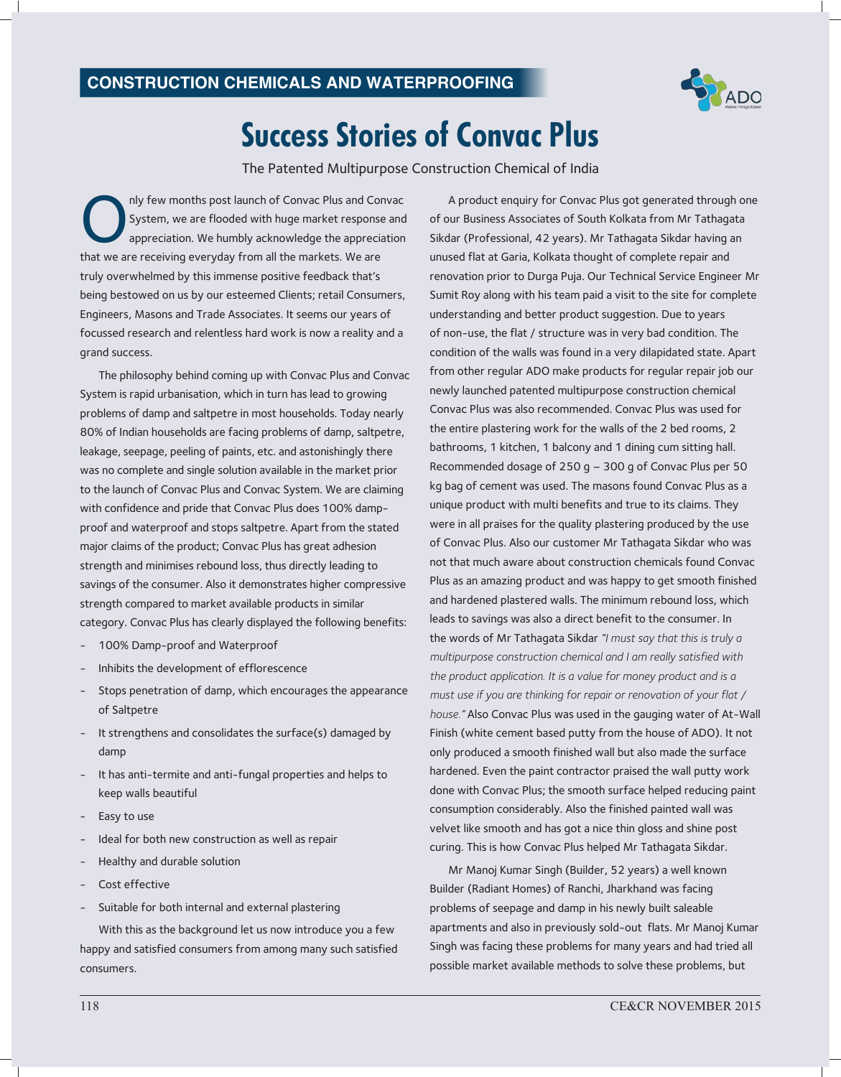

## **Success Stories of Convac Plus**

The Patented Multipurpose Construction Chemical of India

nly few months post launch of Convac Plus and Cor<br>System, we are flooded with huge market response<br>appreciation. We humbly acknowledge the appreciation<br>that we are receiving everyday from all the markets. We are nly few months post launch of Convac Plus and Convac System, we are flooded with huge market response and appreciation. We humbly acknowledge the appreciation truly overwhelmed by this immense positive feedback that's being bestowed on us by our esteemed Clients; retail Consumers, Engineers, Masons and Trade Associates. It seems our years of focussed research and relentless hard work is now a reality and a grand success.

The philosophy behind coming up with Convac Plus and Convac System is rapid urbanisation, which in turn has lead to growing problems of damp and saltpetre in most households. Today nearly 80% of Indian households are facing problems of damp, saltpetre, leakage, seepage, peeling of paints, etc. and astonishingly there was no complete and single solution available in the market prior to the launch of Convac Plus and Convac System. We are claiming with confidence and pride that Convac Plus does 100% dampproof and waterproof and stops saltpetre. Apart from the stated major claims of the product; Convac Plus has great adhesion strength and minimises rebound loss, thus directly leading to savings of the consumer. Also it demonstrates higher compressive strength compared to market available products in similar category. Convac Plus has clearly displayed the following benefits:

- 100% Damp-proof and Waterproof
- Inhibits the development of efflorescence
- Stops penetration of damp, which encourages the appearance of Saltpetre
- It strengthens and consolidates the surface(s) damaged by damp
- It has anti-termite and anti-fungal properties and helps to keep walls beautiful
- Easy to use
- Ideal for both new construction as well as repair
- Healthy and durable solution
- Cost effective
- Suitable for both internal and external plastering

With this as the background let us now introduce you a few happy and satisfied consumers from among many such satisfied consumers.

A product enquiry for Convac Plus got generated through one of our Business Associates of South Kolkata from Mr Tathagata Sikdar (Professional, 42 years). Mr Tathagata Sikdar having an unused flat at Garia, Kolkata thought of complete repair and renovation prior to Durga Puja. Our Technical Service Engineer Mr Sumit Roy along with his team paid a visit to the site for complete understanding and better product suggestion. Due to years of non-use, the flat / structure was in very bad condition. The condition of the walls was found in a very dilapidated state. Apart from other regular ADO make products for regular repair job our newly launched patented multipurpose construction chemical Convac Plus was also recommended. Convac Plus was used for the entire plastering work for the walls of the 2 bed rooms, 2 bathrooms, 1 kitchen, 1 balcony and 1 dining cum sitting hall. Recommended dosage of 250 g – 300 g of Convac Plus per 50 kg bag of cement was used. The masons found Convac Plus as a unique product with multi benefits and true to its claims. They were in all praises for the quality plastering produced by the use of Convac Plus. Also our customer Mr Tathagata Sikdar who was not that much aware about construction chemicals found Convac Plus as an amazing product and was happy to get smooth finished and hardened plastered walls. The minimum rebound loss, which leads to savings was also a direct benefit to the consumer. In the words of Mr Tathagata Sikdar *"I must say that this is truly a multipurpose construction chemical and I am really satisfied with the product application. It is a value for money product and is a must use if you are thinking for repair or renovation of your flat / house."* Also Convac Plus was used in the gauging water of At-Wall Finish (white cement based putty from the house of ADO). It not only produced a smooth finished wall but also made the surface hardened. Even the paint contractor praised the wall putty work done with Convac Plus; the smooth surface helped reducing paint consumption considerably. Also the finished painted wall was velvet like smooth and has got a nice thin gloss and shine post curing. This is how Convac Plus helped Mr Tathagata Sikdar.

Mr Manoj Kumar Singh (Builder, 52 years) a well known Builder (Radiant Homes) of Ranchi, Jharkhand was facing problems of seepage and damp in his newly built saleable apartments and also in previously sold-out flats. Mr Manoj Kumar Singh was facing these problems for many years and had tried all possible market available methods to solve these problems, but